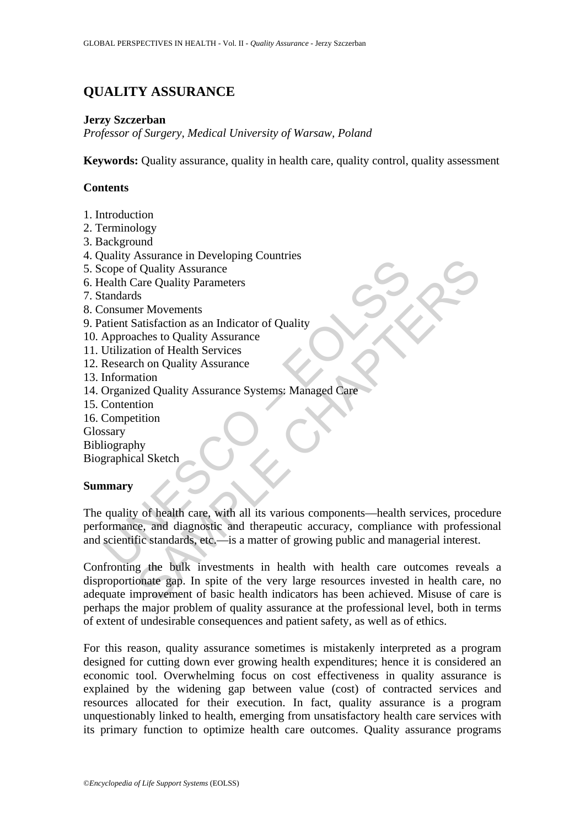# **QUALITY ASSURANCE**

### **Jerzy Szczerban**

*Professor of Surgery, Medical University of Warsaw, Poland* 

**Keywords:** Quality assurance, quality in health care, quality control, quality assessment

## **Contents**

- 1. Introduction
- 2. Terminology
- 3. Background
- 4. Quality Assurance in Developing Countries
- 5. Scope of Quality Assurance
- 6. Health Care Quality Parameters
- 7. Standards
- 8. Consumer Movements
- 9. Patient Satisfaction as an Indicator of Quality
- 10. Approaches to Quality Assurance
- 11. Utilization of Health Services
- 12. Research on Quality Assurance
- 13. Information
- 14. Organized Quality Assurance Systems: Managed Care
- 15. Contention
- 16. Competition

Glossary

Bibliography

Biographical Sketch

#### **Summary**

Example The Contract of Coulity Assurance<br>
Coope of Quality Assurance<br>
Ealth Care Quality Parameters<br>
tandards<br>
consumer Movements<br>
Approaches to Quality Assurance<br>
Approaches to Quality Assurance<br>
Differention<br>
Organized The quality of health care, with all its various components—health services, procedure performance, and diagnostic and therapeutic accuracy, compliance with professional and scientific standards, etc.—is a matter of growing public and managerial interest.

SSUARINCE<br>
SCONDITY ASSUARINGE<br>
SCONDITY ASSUARINGE<br>
SCONDITY ASSUARINGE<br>
SAMPLE CHAPTERS<br>
SAMPLE CHAPTERS<br>
SAMPLE CHAPTERS AND CONDITY<br>
SAMPLE CHAPTERS AND CONDITY<br>
ASSUARING CONDITY<br>
ASSUARINGE CONDITY<br>
ASSUARING CONDITY Confronting the bulk investments in health with health care outcomes reveals a disproportionate gap. In spite of the very large resources invested in health care, no adequate improvement of basic health indicators has been achieved. Misuse of care is perhaps the major problem of quality assurance at the professional level, both in terms of extent of undesirable consequences and patient safety, as well as of ethics.

For this reason, quality assurance sometimes is mistakenly interpreted as a program designed for cutting down ever growing health expenditures; hence it is considered an economic tool. Overwhelming focus on cost effectiveness in quality assurance is explained by the widening gap between value (cost) of contracted services and resources allocated for their execution. In fact, quality assurance is a program unquestionably linked to health, emerging from unsatisfactory health care services with its primary function to optimize health care outcomes. Quality assurance programs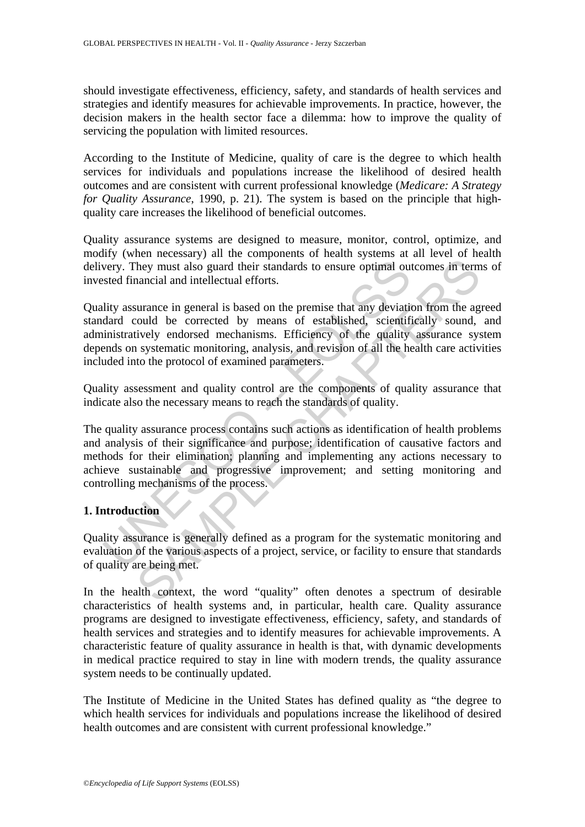should investigate effectiveness, efficiency, safety, and standards of health services and strategies and identify measures for achievable improvements. In practice, however, the decision makers in the health sector face a dilemma: how to improve the quality of servicing the population with limited resources.

According to the Institute of Medicine, quality of care is the degree to which health services for individuals and populations increase the likelihood of desired health outcomes and are consistent with current professional knowledge (*Medicare: A Strategy for Quality Assurance*, 1990, p. 21). The system is based on the principle that highquality care increases the likelihood of beneficial outcomes.

Quality assurance systems are designed to measure, monitor, control, optimize, and modify (when necessary) all the components of health systems at all level of health delivery. They must also guard their standards to ensure optimal outcomes in terms of invested financial and intellectual efforts.

Quality assurance in general is based on the premise that any deviation from the agreed standard could be corrected by means of established, scientifically sound, and administratively endorsed mechanisms. Efficiency of the quality assurance system depends on systematic monitoring, analysis, and revision of all the health care activities included into the protocol of examined parameters.

Quality assessment and quality control are the components of quality assurance that indicate also the necessary means to reach the standards of quality.

very. They must also guard their standards to ensure optimal out<br>steed financial and intellectual efforts.<br>lity assurance in general is based on the premise that any deviatid<br>dard could be corrected by means of established They must also grad their standards to ensure optimal outcomes in term<br>ancial and intellectual efforts.<br>
surance in general is based on the premise that any deviation from the agould be corrected by means of established, s The quality assurance process contains such actions as identification of health problems and analysis of their significance and purpose; identification of causative factors and methods for their elimination; planning and implementing any actions necessary to achieve sustainable and progressive improvement; and setting monitoring and controlling mechanisms of the process.

## **1. Introduction**

Quality assurance is generally defined as a program for the systematic monitoring and evaluation of the various aspects of a project, service, or facility to ensure that standards of quality are being met.

In the health context, the word "quality" often denotes a spectrum of desirable characteristics of health systems and, in particular, health care. Quality assurance programs are designed to investigate effectiveness, efficiency, safety, and standards of health services and strategies and to identify measures for achievable improvements. A characteristic feature of quality assurance in health is that, with dynamic developments in medical practice required to stay in line with modern trends, the quality assurance system needs to be continually updated.

The Institute of Medicine in the United States has defined quality as "the degree to which health services for individuals and populations increase the likelihood of desired health outcomes and are consistent with current professional knowledge."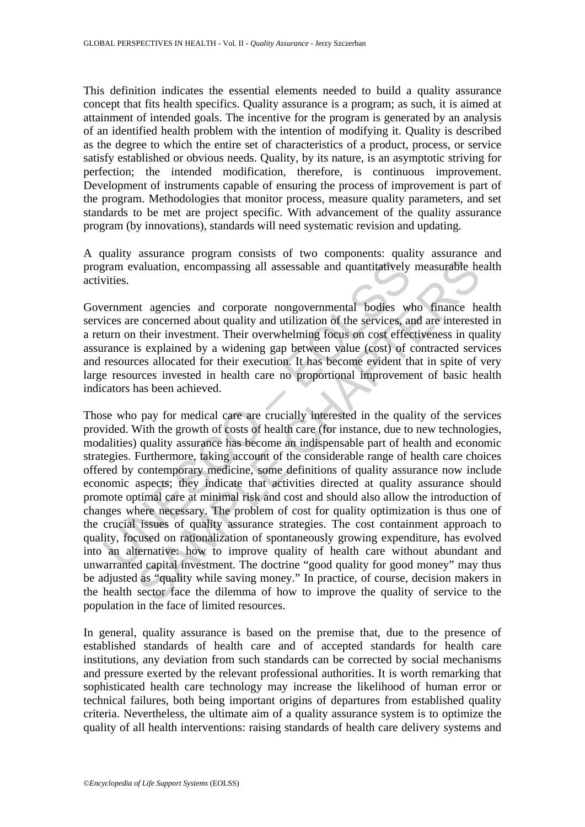This definition indicates the essential elements needed to build a quality assurance concept that fits health specifics. Quality assurance is a program; as such, it is aimed at attainment of intended goals. The incentive for the program is generated by an analysis of an identified health problem with the intention of modifying it. Quality is described as the degree to which the entire set of characteristics of a product, process, or service satisfy established or obvious needs. Quality, by its nature, is an asymptotic striving for perfection; the intended modification, therefore, is continuous improvement. Development of instruments capable of ensuring the process of improvement is part of the program. Methodologies that monitor process, measure quality parameters, and set standards to be met are project specific. With advancement of the quality assurance program (by innovations), standards will need systematic revision and updating.

A quality assurance program consists of two components: quality assurance and program evaluation, encompassing all assessable and quantitatively measurable health activities.

Government agencies and corporate nongovernmental bodies who finance health services are concerned about quality and utilization of the services, and are interested in a return on their investment. Their overwhelming focus on cost effectiveness in quality assurance is explained by a widening gap between value (cost) of contracted services and resources allocated for their execution. It has become evident that in spite of very large resources invested in health care no proportional improvement of basic health indicators has been achieved.

Tram evaluation, encompassing all assessable and quantitatively<br>vities.<br>Tram evaluation, encompassing all assessable and quantitatively<br>vities.<br>The same concerned about quality and utilization of the services, a<br>turn on th anduation, encompassing all assessable and quantitatively measurable he<br>aduation, encompassing all assessable and quantitatively measurable he<br>concerned about quality and utilization of the services, and are intereste<br>thei Those who pay for medical care are crucially interested in the quality of the services provided. With the growth of costs of health care (for instance, due to new technologies, modalities) quality assurance has become an indispensable part of health and economic strategies. Furthermore, taking account of the considerable range of health care choices offered by contemporary medicine, some definitions of quality assurance now include economic aspects; they indicate that activities directed at quality assurance should promote optimal care at minimal risk and cost and should also allow the introduction of changes where necessary. The problem of cost for quality optimization is thus one of the crucial issues of quality assurance strategies. The cost containment approach to quality, focused on rationalization of spontaneously growing expenditure, has evolved into an alternative: how to improve quality of health care without abundant and unwarranted capital investment. The doctrine "good quality for good money" may thus be adjusted as "quality while saving money." In practice, of course, decision makers in the health sector face the dilemma of how to improve the quality of service to the population in the face of limited resources.

In general, quality assurance is based on the premise that, due to the presence of established standards of health care and of accepted standards for health care institutions, any deviation from such standards can be corrected by social mechanisms and pressure exerted by the relevant professional authorities. It is worth remarking that sophisticated health care technology may increase the likelihood of human error or technical failures, both being important origins of departures from established quality criteria. Nevertheless, the ultimate aim of a quality assurance system is to optimize the quality of all health interventions: raising standards of health care delivery systems and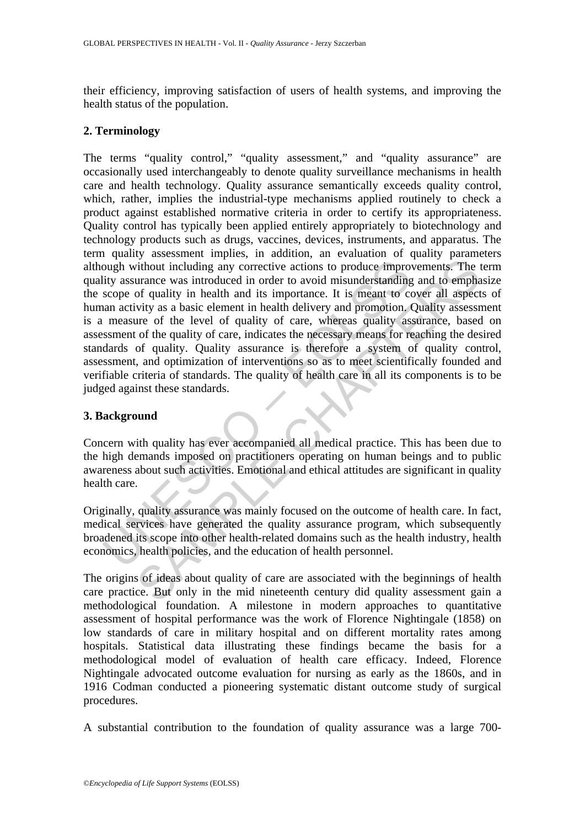their efficiency, improving satisfaction of users of health systems, and improving the health status of the population.

#### **2. Terminology**

ough without including any corrective actions to produce impro-<br>ity assurance was introduced in order to avoid misunderstanding<br>scope of quality in health and its importance. It is meant to can<br>an activity as a basic eleme is thout including any corrective actions to produce improvements. The turance was introduced in order to avoid misunderstanding and to emphasive in a state to avoid misure the issen to cover all aspective as a basic eleme The terms "quality control," "quality assessment," and "quality assurance" are occasionally used interchangeably to denote quality surveillance mechanisms in health care and health technology. Quality assurance semantically exceeds quality control, which, rather, implies the industrial-type mechanisms applied routinely to check a product against established normative criteria in order to certify its appropriateness. Quality control has typically been applied entirely appropriately to biotechnology and technology products such as drugs, vaccines, devices, instruments, and apparatus. The term quality assessment implies, in addition, an evaluation of quality parameters although without including any corrective actions to produce improvements. The term quality assurance was introduced in order to avoid misunderstanding and to emphasize the scope of quality in health and its importance. It is meant to cover all aspects of human activity as a basic element in health delivery and promotion. Quality assessment is a measure of the level of quality of care, whereas quality assurance, based on assessment of the quality of care, indicates the necessary means for reaching the desired standards of quality. Quality assurance is therefore a system of quality control, assessment, and optimization of interventions so as to meet scientifically founded and verifiable criteria of standards. The quality of health care in all its components is to be judged against these standards.

## **3. Background**

Concern with quality has ever accompanied all medical practice. This has been due to the high demands imposed on practitioners operating on human beings and to public awareness about such activities. Emotional and ethical attitudes are significant in quality health care.

Originally, quality assurance was mainly focused on the outcome of health care. In fact, medical services have generated the quality assurance program, which subsequently broadened its scope into other health-related domains such as the health industry, health economics, health policies, and the education of health personnel.

The origins of ideas about quality of care are associated with the beginnings of health care practice. But only in the mid nineteenth century did quality assessment gain a methodological foundation. A milestone in modern approaches to quantitative assessment of hospital performance was the work of Florence Nightingale (1858) on low standards of care in military hospital and on different mortality rates among hospitals. Statistical data illustrating these findings became the basis for a methodological model of evaluation of health care efficacy. Indeed, Florence Nightingale advocated outcome evaluation for nursing as early as the 1860s, and in 1916 Codman conducted a pioneering systematic distant outcome study of surgical procedures.

A substantial contribution to the foundation of quality assurance was a large 700-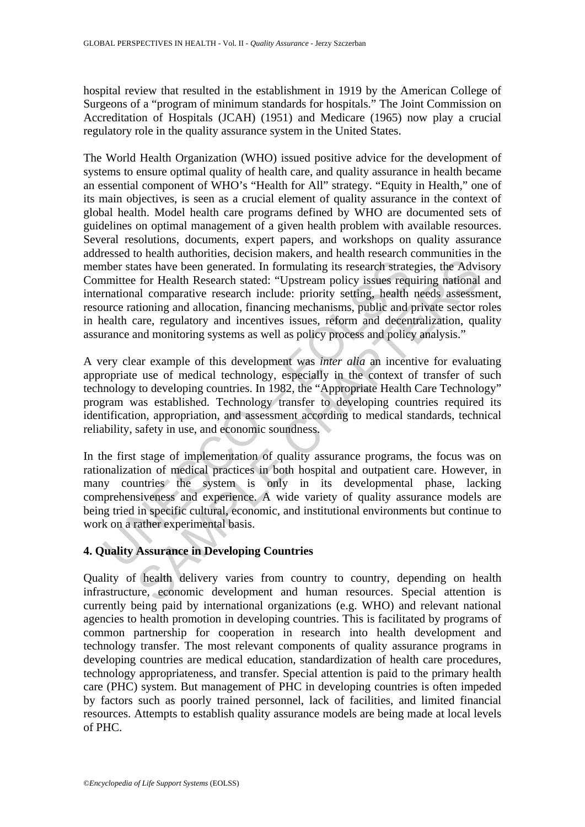hospital review that resulted in the establishment in 1919 by the American College of Surgeons of a "program of minimum standards for hospitals." The Joint Commission on Accreditation of Hospitals (JCAH) (1951) and Medicare (1965) now play a crucial regulatory role in the quality assurance system in the United States.

more states have been generated. In formulating its research strate mittee for Health Research stated: "Upstream policy issues requalitionary experimentations, financing mechanisms, public and junctionary and incentive iss ates have been generated. In formulating its research strategies, the Advi for Health Research stated: "Upstream policy issues requiring national comparative research include: priority setting, health needs assessment incl The World Health Organization (WHO) issued positive advice for the development of systems to ensure optimal quality of health care, and quality assurance in health became an essential component of WHO's "Health for All" strategy. "Equity in Health," one of its main objectives, is seen as a crucial element of quality assurance in the context of global health. Model health care programs defined by WHO are documented sets of guidelines on optimal management of a given health problem with available resources. Several resolutions, documents, expert papers, and workshops on quality assurance addressed to health authorities, decision makers, and health research communities in the member states have been generated. In formulating its research strategies, the Advisory Committee for Health Research stated: "Upstream policy issues requiring national and international comparative research include: priority setting, health needs assessment, resource rationing and allocation, financing mechanisms, public and private sector roles in health care, regulatory and incentives issues, reform and decentralization, quality assurance and monitoring systems as well as policy process and policy analysis."

A very clear example of this development was *inter alia* an incentive for evaluating appropriate use of medical technology, especially in the context of transfer of such technology to developing countries. In 1982, the "Appropriate Health Care Technology" program was established. Technology transfer to developing countries required its identification, appropriation, and assessment according to medical standards, technical reliability, safety in use, and economic soundness.

In the first stage of implementation of quality assurance programs, the focus was on rationalization of medical practices in both hospital and outpatient care. However, in many countries the system is only in its developmental phase, lacking comprehensiveness and experience. A wide variety of quality assurance models are being tried in specific cultural, economic, and institutional environments but continue to work on a rather experimental basis.

# **4. Quality Assurance in Developing Countries**

Quality of health delivery varies from country to country, depending on health infrastructure, economic development and human resources. Special attention is currently being paid by international organizations (e.g. WHO) and relevant national agencies to health promotion in developing countries. This is facilitated by programs of common partnership for cooperation in research into health development and technology transfer. The most relevant components of quality assurance programs in developing countries are medical education, standardization of health care procedures, technology appropriateness, and transfer. Special attention is paid to the primary health care (PHC) system. But management of PHC in developing countries is often impeded by factors such as poorly trained personnel, lack of facilities, and limited financial resources. Attempts to establish quality assurance models are being made at local levels of PHC.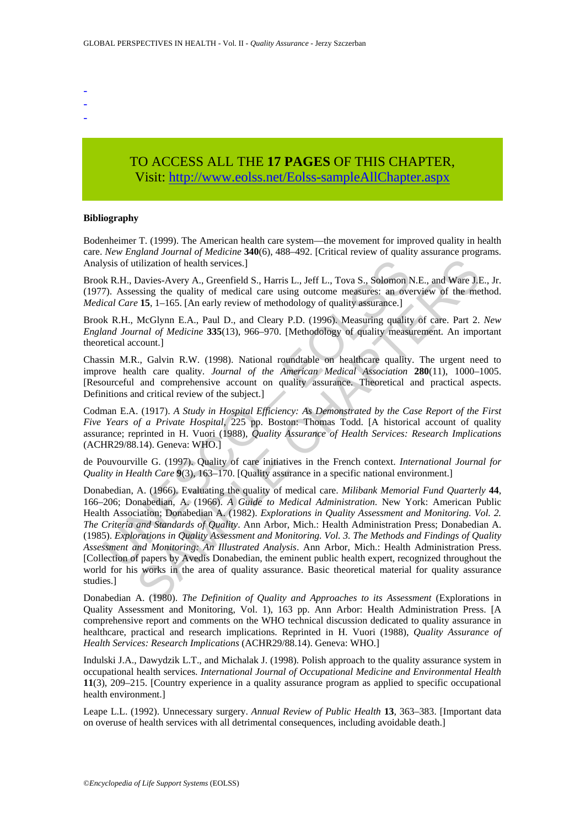- -
- -
- -

# TO ACCESS ALL THE **17 PAGES** OF THIS CHAPTER, Visit[: http://www.eolss.net/Eolss-sampleAllChapter.aspx](https://www.eolss.net/ebooklib/sc_cart.aspx?File=E1-14-03-02)

#### **Bibliography**

Bodenheimer T. (1999). The American health care system—the movement for improved quality in health care. *New England Journal of Medicine* **340**(6), 488–492. [Critical review of quality assurance programs. Analysis of utilization of health services.]

Brook R.H., Davies-Avery A., Greenfield S., Harris L., Jeff L., Tova S., Solomon N.E., and Ware J.E., Jr. (1977). Assessing the quality of medical care using outcome measures: an overview of the method. *Medical Care* **15**, 1–165. [An early review of methodology of quality assurance.]

Brook R.H., McGlynn E.A., Paul D., and Cleary P.D. (1996). Measuring quality of care. Part 2. *New England Journal of Medicine* **335**(13), 966–970. [Methodology of quality measurement. An important theoretical account.]

Chassin M.R., Galvin R.W. (1998). National roundtable on healthcare quality. The urgent need to improve health care quality. *Journal of the American Medical Association* **280**(11), 1000–1005. [Resourceful and comprehensive account on quality assurance. Theoretical and practical aspects. Definitions and critical review of the subject.]

Codman E.A. (1917). *A Study in Hospital Efficiency: As Demonstrated by the Case Report of the First Five Years of a Private Hospital*, 225 pp. Boston: Thomas Todd. [A historical account of quality assurance; reprinted in H. Vuori (1988), *Quality Assurance of Health Services: Research Implications* (ACHR29/88.14). Geneva: WHO.]

de Pouvourville G. (1997). Quality of care initiatives in the French context. *International Journal for Quality in Health Care* **9**(3), 163–170. [Quality assurance in a specific national environment.]

ysis of utilization of health services.]<br>
K. R.H., Davies-Avery A., Greenfield S., Harris L., Jeff L., Tova S., Solomon N.<br>
ical Care 15, 1–165. [An early of medical care using outcome measures: an over<br>
cical Care 15, 1–1 tilization of health services.]<br>
Davies-Avery A., Greenfield S., Harris L., Jeff L., Tova S., Solomon N.E., and Ware J.E<br>
1818, Sing the quality of medical care using outcome measures: an overview of the me<br>
15. 1–165. [An Donabedian, A. (1966). Evaluating the quality of medical care. *Milibank Memorial Fund Quarterly* **44**, 166–206; Donabedian, A. (1966). *A Guide to Medical Administration*. New York: American Public Health Association; Donabedian A. (1982). *Explorations in Quality Assessment and Monitoring. Vol. 2. The Criteria and Standards of Quality*. Ann Arbor, Mich.: Health Administration Press; Donabedian A. (1985). *Explorations in Quality Assessment and Monitoring. Vol. 3. The Methods and Findings of Quality Assessment and Monitoring: An Illustrated Analysis*. Ann Arbor, Mich.: Health Administration Press. [Collection of papers by Avedis Donabedian, the eminent public health expert, recognized throughout the world for his works in the area of quality assurance. Basic theoretical material for quality assurance studies.]

Donabedian A. (1980). *The Definition of Quality and Approaches to its Assessment* (Explorations in Quality Assessment and Monitoring, Vol. 1), 163 pp. Ann Arbor: Health Administration Press. [A comprehensive report and comments on the WHO technical discussion dedicated to quality assurance in healthcare, practical and research implications. Reprinted in H. Vuori (1988), *Quality Assurance of Health Services: Research Implications* (ACHR29/88.14). Geneva: WHO.]

Indulski J.A., Dawydzik L.T., and Michalak J. (1998). Polish approach to the quality assurance system in occupational health services. *International Journal of Occupational Medicine and Environmental Health* **11**(3), 209–215. [Country experience in a quality assurance program as applied to specific occupational health environment.]

Leape L.L. (1992). Unnecessary surgery. *Annual Review of Public Health* **13**, 363–383. [Important data on overuse of health services with all detrimental consequences, including avoidable death.]